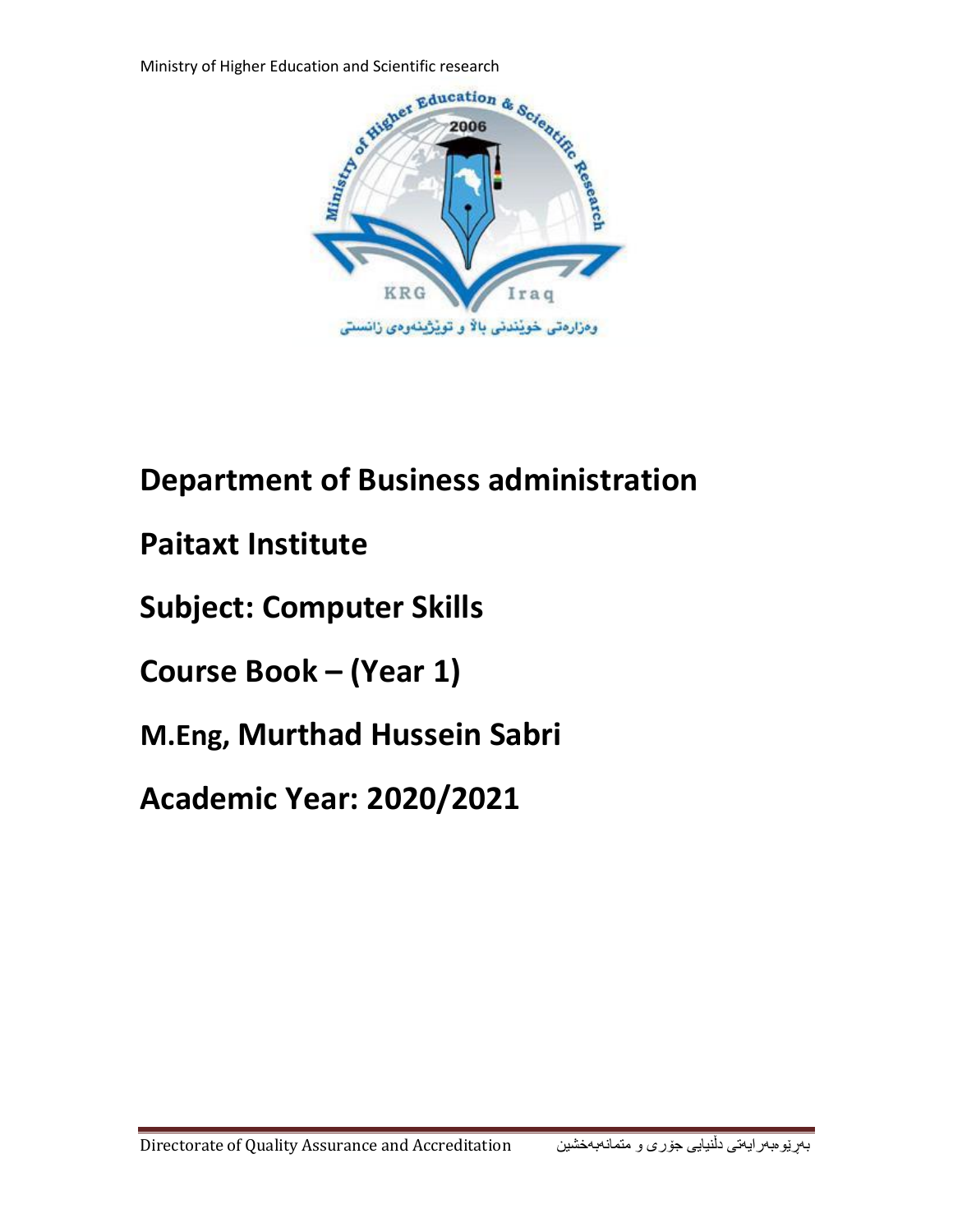

# **Department of Business administration**

- **Paitaxt Institute**
- **Subject: Computer Skills**
- **Course Book – (Year 1)**
- **M.Eng, Murthad Hussein Sabri**

# **Academic Year: 2020/2021**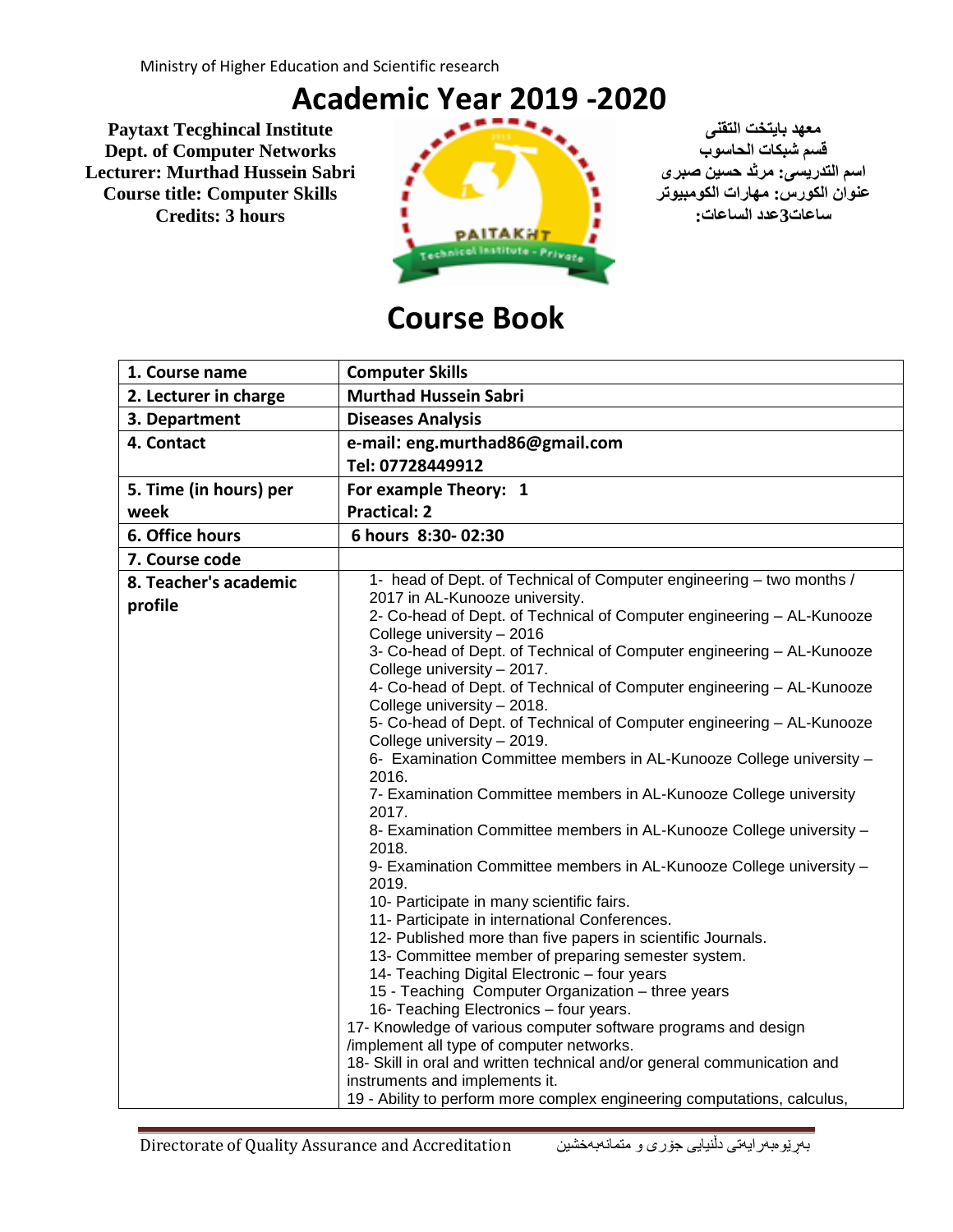# **Academic Year 2019 -2020**

**معهد بایتخت التقنی Institute Tecghincal Paytaxt Dept. of Computer Networks الحاسوب شبكات قسم Lecturer: Murthad Hussein Sabri عنوان الكورس: مهارات الكومبیوتر Skills Computer :title Course**



# **Course Book**

| 1. Course name         | <b>Computer Skills</b>                                                                                            |
|------------------------|-------------------------------------------------------------------------------------------------------------------|
| 2. Lecturer in charge  | <b>Murthad Hussein Sabri</b>                                                                                      |
| 3. Department          | <b>Diseases Analysis</b>                                                                                          |
| 4. Contact             | e-mail: eng.murthad86@gmail.com                                                                                   |
|                        | Tel: 07728449912                                                                                                  |
| 5. Time (in hours) per | For example Theory: 1                                                                                             |
| week                   | <b>Practical: 2</b>                                                                                               |
| 6. Office hours        | 6 hours 8:30-02:30                                                                                                |
| 7. Course code         |                                                                                                                   |
| 8. Teacher's academic  | 1- head of Dept. of Technical of Computer engineering - two months /                                              |
| profile                | 2017 in AL-Kunooze university.                                                                                    |
|                        | 2- Co-head of Dept. of Technical of Computer engineering - AL-Kunooze                                             |
|                        | College university - 2016                                                                                         |
|                        | 3- Co-head of Dept. of Technical of Computer engineering - AL-Kunooze                                             |
|                        | College university - 2017.<br>4- Co-head of Dept. of Technical of Computer engineering - AL-Kunooze               |
|                        | College university - 2018.                                                                                        |
|                        | 5- Co-head of Dept. of Technical of Computer engineering - AL-Kunooze                                             |
|                        | College university - 2019.                                                                                        |
|                        | 6- Examination Committee members in AL-Kunooze College university -                                               |
|                        | 2016.                                                                                                             |
|                        | 7- Examination Committee members in AL-Kunooze College university                                                 |
|                        | 2017.                                                                                                             |
|                        | 8- Examination Committee members in AL-Kunooze College university -                                               |
|                        | 2018.                                                                                                             |
|                        | 9- Examination Committee members in AL-Kunooze College university -                                               |
|                        | 2019.                                                                                                             |
|                        | 10- Participate in many scientific fairs.                                                                         |
|                        | 11- Participate in international Conferences.                                                                     |
|                        | 12- Published more than five papers in scientific Journals.<br>13- Committee member of preparing semester system. |
|                        | 14- Teaching Digital Electronic - four years                                                                      |
|                        | 15 - Teaching Computer Organization - three years                                                                 |
|                        | 16- Teaching Electronics - four years.                                                                            |
|                        | 17- Knowledge of various computer software programs and design                                                    |
|                        | /implement all type of computer networks.                                                                         |
|                        | 18- Skill in oral and written technical and/or general communication and                                          |
|                        | instruments and implements it.                                                                                    |
|                        | 19 - Ability to perform more complex engineering computations, calculus,                                          |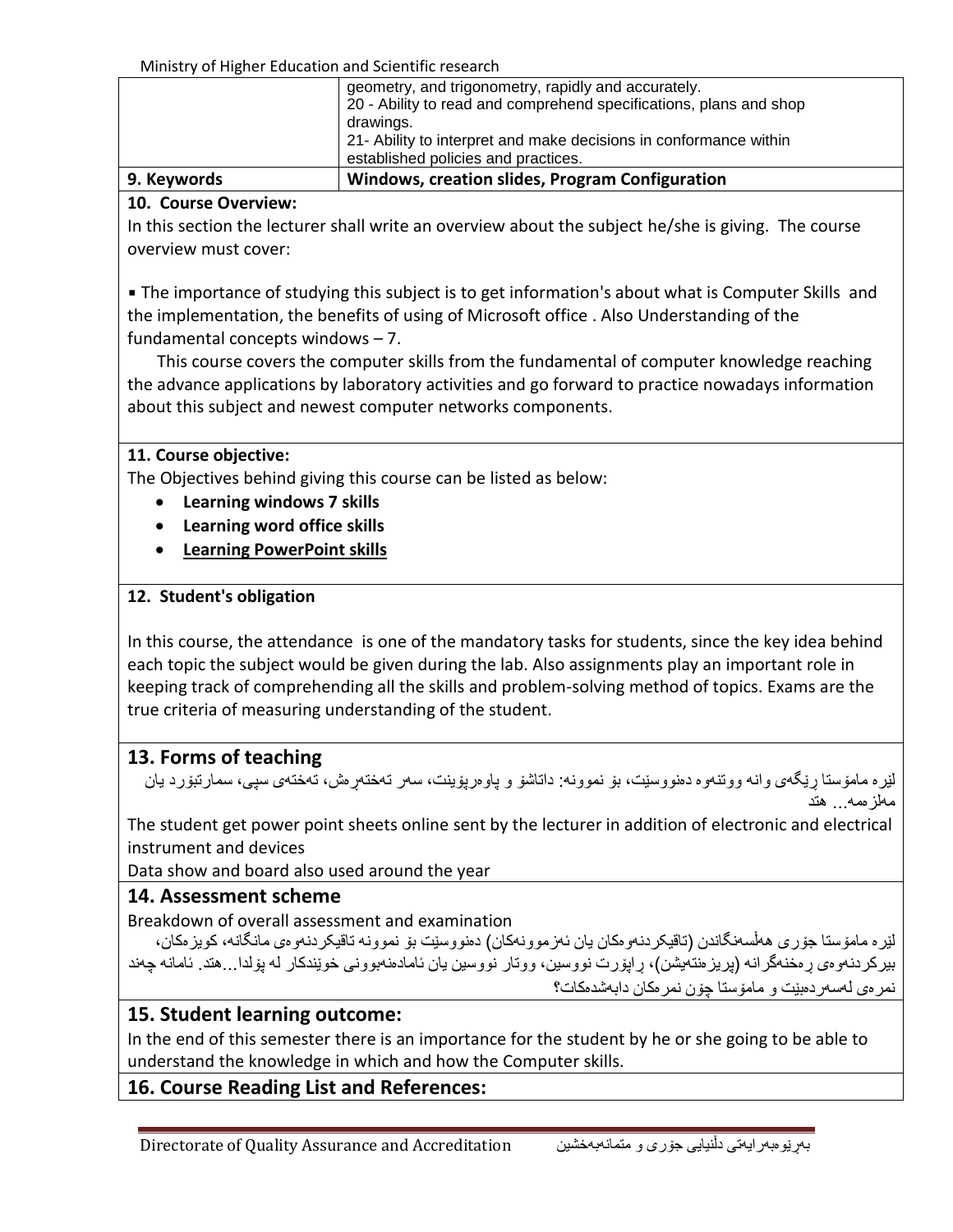Ministry of Higher Education and Scientific research

| 9. Keywords | Windows, creation slides, Program Configuration                                                                           |
|-------------|---------------------------------------------------------------------------------------------------------------------------|
|             | drawings.<br>21- Ability to interpret and make decisions in conformance within<br>established policies and practices.     |
|             | geometry, and trigonometry, rapidly and accurately.<br>20 - Ability to read and comprehend specifications, plans and shop |
|             |                                                                                                                           |

#### **10. Course Overview:**

In this section the lecturer shall write an overview about the subject he/she is giving. The course overview must cover:

**• The importance of studying this subject is to get information's about what is Computer Skills and** the implementation, the benefits of using of Microsoft office . Also Understanding of the fundamental concepts windows – 7.

 This course covers the computer skills from the fundamental of computer knowledge reaching the advance applications by laboratory activities and go forward to practice nowadays information about this subject and newest computer networks components.

#### **11. Course objective:**

The Objectives behind giving this course can be listed as below:

- **Learning windows 7 skills**
- **Learning word office skills**
- **Learning PowerPoint skills**

## **12. Student's obligation**

In this course, the attendance is one of the mandatory tasks for students, since the key idea behind each topic the subject would be given during the lab. Also assignments play an important role in keeping track of comprehending all the skills and problem-solving method of topics. Exams are the true criteria of measuring understanding of the student.

# **13. Forms of teaching**

لێره مامۆستا رێگەی وانه ووتنەوه دەنووسێت، بۆ نموونه: داتاشۆ و پاوەرپۆینت، سەر تەختەرەش، تەختەی سپی، سمارتبۆرد یان مهلزهمه... هتد

The student get power point sheets online sent by the lecturer in addition of electronic and electrical instrument and devices

Data show and board also used around the year

## **14. Assessment scheme**

Breakdown of overall assessment and examination

لێره مامۆستا جۆری هەڵسەنگاندن (تاقیکردنەوەکان یان ئەزموونەکان) دەنووسێت بۆ نموونە تاقیکردنەوەی مانگانە، کویزەکان، بیرکردنهوهی ڕهخنهگرانه )پریزهنتهیشن(، ڕاپۆرت نووسین، ووتار نووسین یان ئامادهنهبوونی خوێندکار له پۆلدا...هتد. ئامانه چهند نمرهی لهسهردهبێت و مامۆستا چۆن نمرهکان دابهشدهکات؟

# **15. Student learning outcome:**

In the end of this semester there is an importance for the student by he or she going to be able to understand the knowledge in which and how the Computer skills.

# **16. Course Reading List and References:**

Directorate of Quality Assurance and Accreditation متمانهبهخشین و جۆری دڵنیایی بهڕێوهبهرایهتی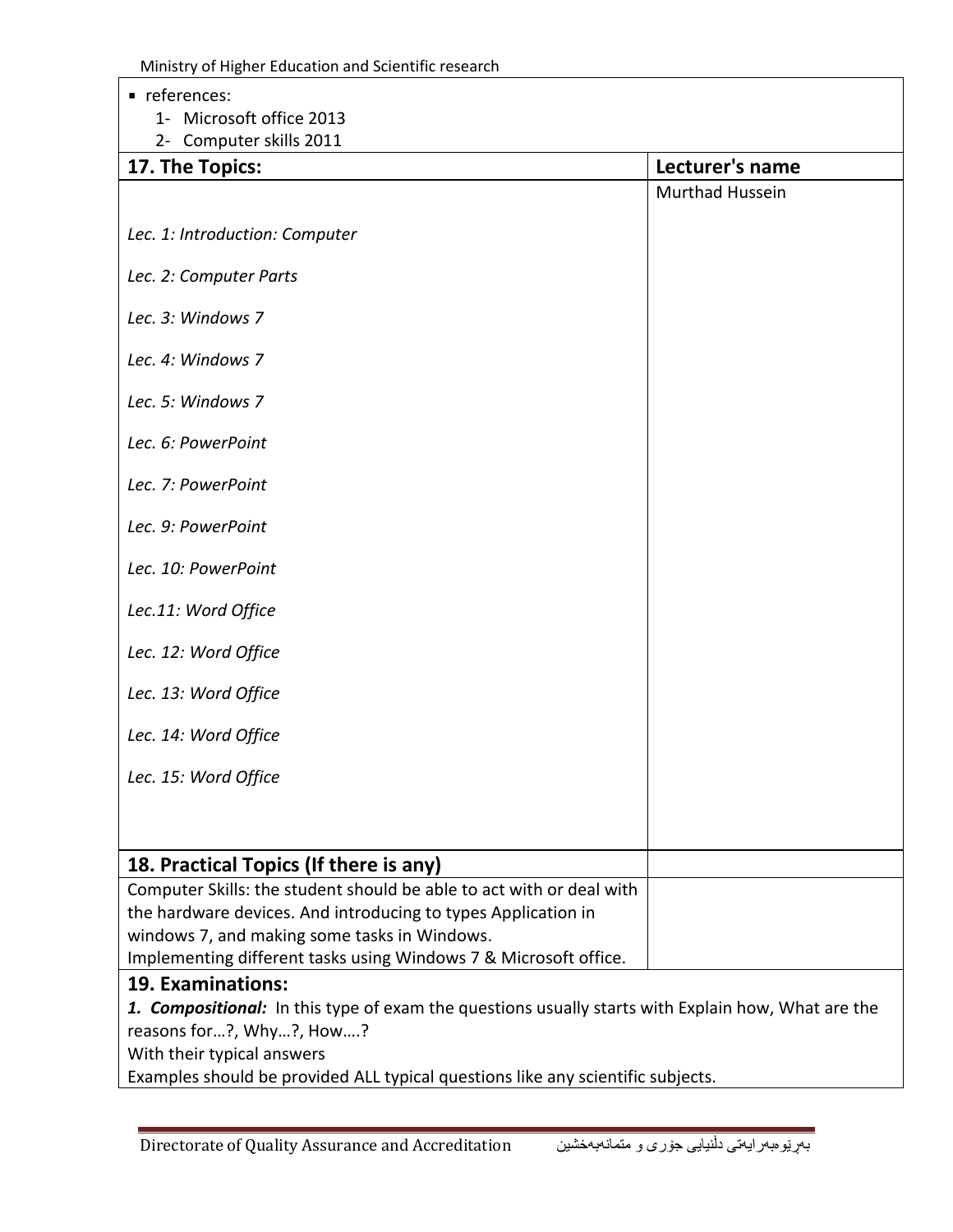Ministry of Higher Education and Scientific research

■ references: 1- Microsoft office 2013 2- Computer skills 2011 **17. The Topics: Lecturer's name** *Lec. 1: Introduction: Computer Lec. 2: Computer Parts Lec. 3: Windows 7 Lec. 4: Windows 7 Lec. 5: Windows 7 Lec. 6: PowerPoint Lec. 7: PowerPoint Lec. 9: PowerPoint Lec. 10: PowerPoint Lec.11: Word Office Lec. 12: Word Office Lec. 13: Word Office Lec. 14: Word Office Lec. 15: Word Office* Murthad Hussein **18. Practical Topics (If there is any)** Computer Skills: the student should be able to act with or deal with the hardware devices. And introducing to types Application in windows 7, and making some tasks in Windows. Implementing different tasks using Windows 7 & Microsoft office. **19. Examinations:** *1. Compositional:* In this type of exam the questions usually starts with Explain how, What are the reasons for…?, Why…?, How….? With their typical answers

Examples should be provided ALL typical questions like any scientific subjects.